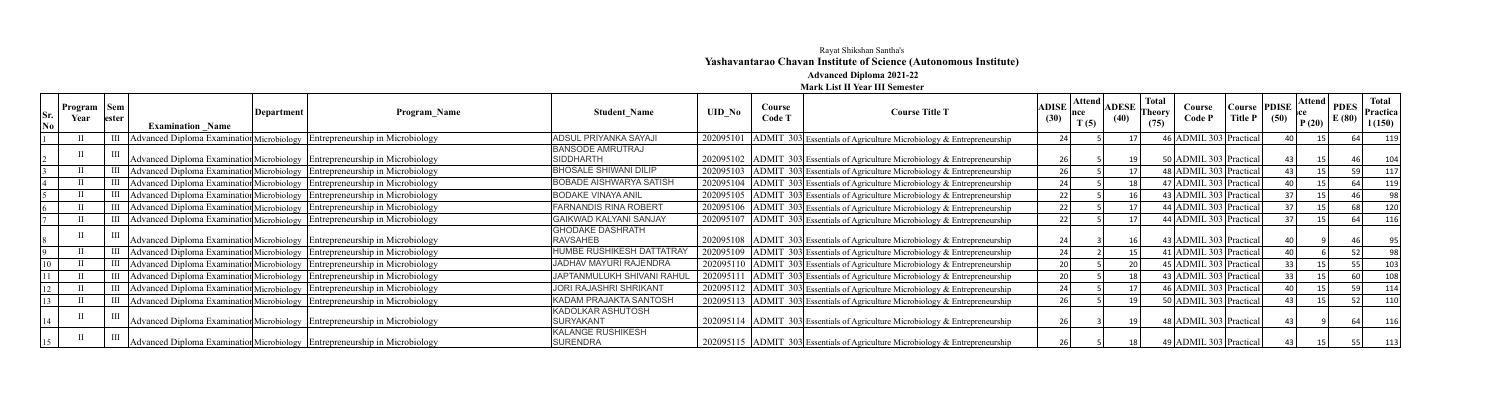## Rayat Shikshan Santha's **Yashavantarao Chavan Institute of Science (Autonomous Institute) Advanced Diploma 2021-22**

**Mark List II Year III Semester**

| Sr.<br>No | <b>Program</b> $\vert$ Sem $\vert$<br>Year | <b>lester</b> | <b>Examination Name</b> | Department | Program Name                                                                       | <b>Student Name</b>                          | <b>UID No</b> | Course<br>Code <sup>[]</sup> | <b>Course Title T</b>                                                         | ADISE <sup><math> </math></sup><br>(30) | <b>Attend</b><br>mce<br>T(5) | <b>ADESE</b><br>(40) | <b>Total</b><br>Fheory<br>(75) | Course<br>Code P       | Course PDISE<br>Title P | (50) | $\log  \text{Attend} $ PDES $ \cdot $<br>E(80) | <b>Total</b><br>  Practica<br>1(150) |
|-----------|--------------------------------------------|---------------|-------------------------|------------|------------------------------------------------------------------------------------|----------------------------------------------|---------------|------------------------------|-------------------------------------------------------------------------------|-----------------------------------------|------------------------------|----------------------|--------------------------------|------------------------|-------------------------|------|------------------------------------------------|--------------------------------------|
|           |                                            |               |                         |            | III   Advanced Diploma Examination Microbiology   Entrepreneurship in Microbiology | <b>ADSUL PRIYANKA SAYAJI</b>                 | 202095101     |                              | ADMIT 303 Essentials of Agriculture Microbiology & Entrepreneurship           | 24 l                                    |                              |                      |                                | 46 ADMIL 303 Practical |                         |      |                                                | 11 <sup>c</sup>                      |
|           |                                            |               |                         |            | Advanced Diploma Examination Microbiology Entrepreneurship in Microbiology         | <b>BANSODE AMRUTRAJ</b><br><b>SIDDHARTH</b>  |               |                              | 202095102 ADMIT 303 Essentials of Agriculture Microbiology & Entrepreneurship | 26                                      |                              |                      |                                | 50 ADMIL 303 Practical |                         |      |                                                |                                      |
|           |                                            |               |                         |            | III   Advanced Diploma Examination Microbiology   Entrepreneurship in Microbiology | <b>BHOSALE SHIWANI DILIP</b>                 |               |                              | 202095103 ADMIT 303 Essentials of Agriculture Microbiology & Entrepreneurship | 26                                      |                              |                      |                                | 48 ADMIL 303 Practical |                         |      |                                                |                                      |
|           |                                            |               |                         |            | III   Advanced Diploma Examination Microbiology   Entrepreneurship in Microbiology | <b>BOBADE AISHWARYA SATISH</b>               | 202095104     |                              | $ ADMIT 303 $ Essentials of Agriculture Microbiology & Entrepreneurship       | 24                                      |                              |                      |                                | 47 ADMIL 303 Practical |                         |      |                                                | 119                                  |
|           |                                            |               |                         |            | III   Advanced Diploma Examination Microbiology   Entrepreneurship in Microbiology | <b>BODAKE VINAYA ANIL</b>                    |               |                              | 202095105 ADMIT 303 Essentials of Agriculture Microbiology & Entrepreneurship | 22                                      |                              |                      |                                | 43 ADMIL 303 Practical |                         |      |                                                |                                      |
|           |                                            |               |                         |            | III   Advanced Diploma Examination Microbiology   Entrepreneurship in Microbiology | <b>FARNANDIS RINA ROBERT</b>                 | 202095106     |                              | ADMIT 303 Essentials of Agriculture Microbiology & Entrepreneurship           | 22                                      |                              |                      |                                | 44 ADMIL 303 Practical |                         |      |                                                | 120                                  |
|           |                                            |               |                         |            | III   Advanced Diploma Examination Microbiology   Entrepreneurship in Microbiology | <b>GAIKWAD KALYANI SANJAY</b>                |               |                              | 202095107 ADMIT 303 Essentials of Agriculture Microbiology & Entrepreneurship | 22                                      |                              |                      |                                | 44 ADMIL 303 Practical |                         |      |                                                |                                      |
|           |                                            |               |                         |            | Advanced Diploma Examination Microbiology Entrepreneurship in Microbiology         | <b>GHODAKE DASHRATH</b><br><b>RAVSAHEB</b>   |               |                              | 202095108 ADMIT 303 Essentials of Agriculture Microbiology & Entrepreneurship | 24                                      |                              |                      |                                | 43 ADMIL 303 Practical |                         |      |                                                |                                      |
|           |                                            |               |                         |            | III   Advanced Diploma Examination Microbiology   Entrepreneurship in Microbiology | HUMBE RUSHIKESH DATTATRAY                    |               |                              | 202095109 ADMIT 303 Essentials of Agriculture Microbiology & Entrepreneurship | 24                                      |                              |                      |                                | 41 ADMIL 303 Practical |                         |      |                                                |                                      |
|           |                                            |               |                         |            | III   Advanced Diploma Examination Microbiology   Entrepreneurship in Microbiology | JADHAV MAYURI RAJENDRA                       |               |                              | 202095110 ADMIT 303 Essentials of Agriculture Microbiology & Entrepreneurship | 20                                      |                              |                      |                                | 45 ADMIL 303 Practical |                         |      |                                                |                                      |
|           |                                            |               |                         |            | III   Advanced Diploma Examination Microbiology   Entrepreneurship in Microbiology | <b>JAPTANMULUKH SHIVANI RAHU</b>             | 202095111     |                              | $ ADMIT 303 $ Essentials of Agriculture Microbiology & Entrepreneurship       | 20                                      |                              |                      |                                | 43 ADMIL 303 Practical |                         |      |                                                |                                      |
|           |                                            |               |                         |            | III   Advanced Diploma Examination Microbiology   Entrepreneurship in Microbiology | JORI RAJASHRI SHRIKANT                       |               |                              | 202095112 ADMIT 303 Essentials of Agriculture Microbiology & Entrepreneurship | 24                                      |                              |                      |                                | 46 ADMIL 303 Practical |                         |      |                                                | 114                                  |
|           |                                            |               |                         |            | III Advanced Diploma Examination Microbiology Entrepreneurship in Microbiology     | KADAM PRAJAKTA SANTOSH                       |               |                              | 202095113 ADMIT 303 Essentials of Agriculture Microbiology & Entrepreneurship | 26                                      |                              |                      |                                | 50 ADMIL 303 Practical |                         |      |                                                |                                      |
|           |                                            |               |                         |            | Advanced Diploma Examination Microbiology Entrepreneurship in Microbiology         | <b>KADOLKAR ASHUTOSH</b><br><b>SURYAKANT</b> |               |                              | 202095114 ADMIT 303 Essentials of Agriculture Microbiology & Entrepreneurship | 26                                      |                              |                      |                                | 48 ADMIL 303 Practical |                         |      |                                                |                                      |
|           |                                            |               |                         |            | Advanced Diploma Examination Microbiology Entrepreneurship in Microbiology         | <b>KALANGE RUSHIKESH</b><br><b>SURENDRA</b>  |               |                              | 202095115 ADMIT 303 Essentials of Agriculture Microbiology & Entrepreneurship | 26                                      |                              |                      |                                | 49 ADMIL 303 Practical |                         |      |                                                |                                      |